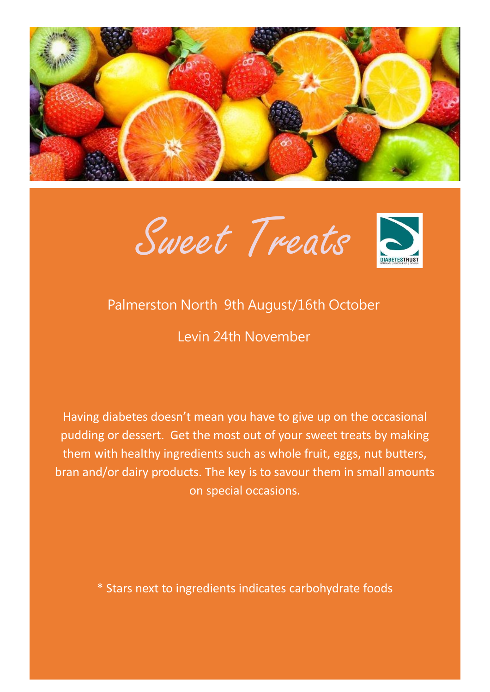





### Palmerston North 9th August/16th October

Levin 24th November

Having diabetes doesn't mean you have to give up on the occasional pudding or dessert. Get the most out of your sweet treats by making them with healthy ingredients such as whole fruit, eggs, nut butters, bran and/or dairy products. The key is to savour them in small amounts on special occasions.

\* Stars next to ingredients indicates carbohydrate foods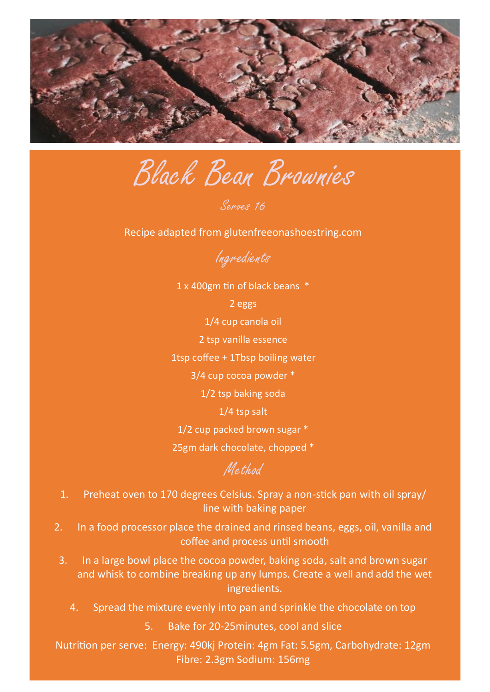

Black Bean Brownies

Serves 16

Recipe adapted from glutenfreeonashoestring.com

Ingredients

1 x 400gm tin of black beans \*

2 eggs

1/4 cup canola oil

2 tsp vanilla essence

1tsp coffee + 1Tbsp boiling water

3/4 cup cocoa powder \*

1/2 tsp baking soda

1/4 tsp salt

1/2 cup packed brown sugar \*

25gm dark chocolate, chopped \*

## Method

- 1. Preheat oven to 170 degrees Celsius. Spray a non-stick pan with oil spray/ line with baking paper
- 2. In a food processor place the drained and rinsed beans, eggs, oil, vanilla and coffee and process until smooth
- 3. In a large bowl place the cocoa powder, baking soda, salt and brown sugar and whisk to combine breaking up any lumps. Create a well and add the wet ingredients.
	- 4. Spread the mixture evenly into pan and sprinkle the chocolate on top

5. Bake for 20-25minutes, cool and slice

Nutrition per serve: Energy: 490kj Protein: 4gm Fat: 5.5gm, Carbohydrate: 12gm Fibre: 2.3gm Sodium: 156mg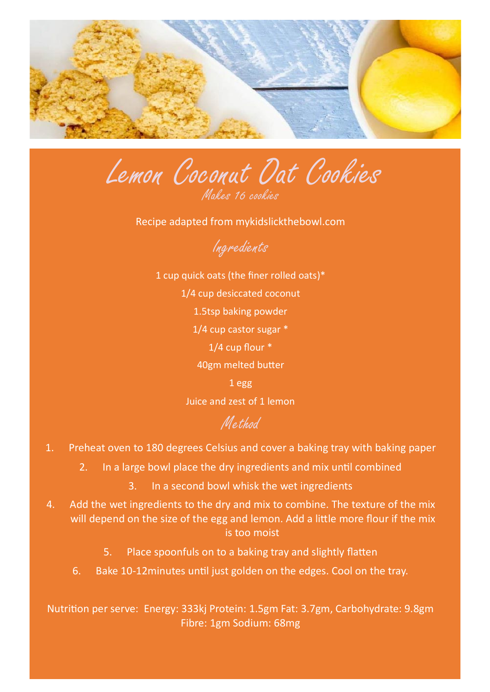

Lemon Coconut Oat Cookies Makes 16 cookies

Recipe adapted from mykidslickthebowl.com



1 cup quick oats (the finer rolled oats)\* 1/4 cup desiccated coconut 1.5tsp baking powder 1/4 cup castor sugar \* 1/4 cup flour \* 40gm melted butter 1 egg Juice and zest of 1 lemon

## Method

- 1. Preheat oven to 180 degrees Celsius and cover a baking tray with baking paper
	- 2. In a large bowl place the dry ingredients and mix until combined
		- 3. In a second bowl whisk the wet ingredients
- 4. Add the wet ingredients to the dry and mix to combine. The texture of the mix will depend on the size of the egg and lemon. Add a little more flour if the mix is too moist
	- 5. Place spoonfuls on to a baking tray and slightly flatten
	- 6. Bake 10-12minutes until just golden on the edges. Cool on the tray.

Nutrition per serve: Energy: 333kj Protein: 1.5gm Fat: 3.7gm, Carbohydrate: 9.8gm Fibre: 1gm Sodium: 68mg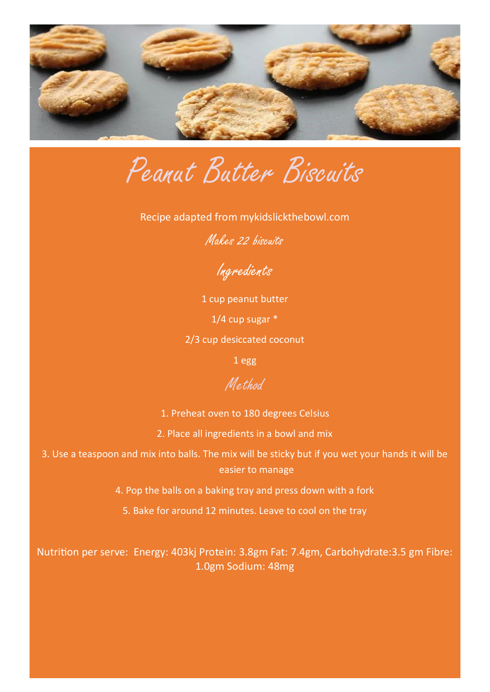

Peanut Butter Biscuits

Recipe adapted from mykidslickthebowl.com

Makes 22 biscuits

Ingredients

1 cup peanut butter 1/4 cup sugar \* 2/3 cup desiccated coconut

1 egg

#### Method

1. Preheat oven to 180 degrees Celsius

2. Place all ingredients in a bowl and mix

3. Use a teaspoon and mix into balls. The mix will be sticky but if you wet your hands it will be easier to manage

4. Pop the balls on a baking tray and press down with a fork

5. Bake for around 12 minutes. Leave to cool on the tray

Nutrition per serve: Energy: 403kj Protein: 3.8gm Fat: 7.4gm, Carbohydrate:3.5 gm Fibre: 1.0gm Sodium: 48mg